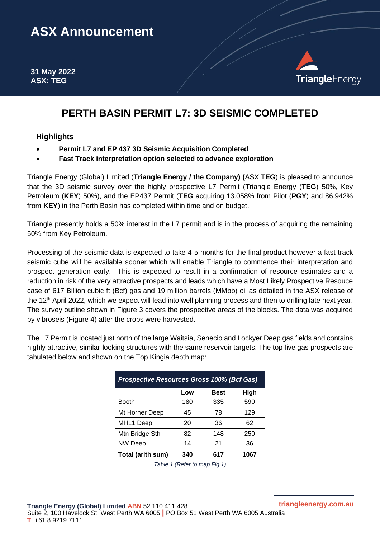# **ASX Announcement**

**31 May 2022 ASX: TEG**



# **PERTH BASIN PERMIT L7: 3D SEISMIC COMPLETED**

## **Highlights**

- **Permit L7 and EP 437 3D Seismic Acquisition Completed**
- **Fast Track interpretation option selected to advance exploration**

Triangle Energy (Global) Limited (**Triangle Energy / the Company) (**ASX:**TEG**) is pleased to announce that the 3D seismic survey over the highly prospective L7 Permit (Triangle Energy (**TEG**) 50%, Key Petroleum (**KEY**) 50%), and the EP437 Permit (**TEG** acquiring 13.058% from Pilot (**PGY**) and 86.942% from **KEY**) in the Perth Basin has completed within time and on budget.

Triangle presently holds a 50% interest in the L7 permit and is in the process of acquiring the remaining 50% from Key Petroleum.

Processing of the seismic data is expected to take 4-5 months for the final product however a fast-track seismic cube will be available sooner which will enable Triangle to commence their interpretation and prospect generation early. This is expected to result in a confirmation of resource estimates and a reduction in risk of the very attractive prospects and leads which have a Most Likely Prospective Resouce case of 617 Billion cubic ft (Bcf) gas and 19 million barrels (MMbb) oil as detailed in the ASX release of the 12th April 2022, which we expect will lead into well planning process and then to drilling late next year. The survey outline shown in Figure 3 covers the prospective areas of the blocks. The data was acquired by vibroseis (Figure 4) after the crops were harvested.

The L7 Permit is located just north of the large Waitsia, Senecio and Lockyer Deep gas fields and contains highly attractive, similar-looking structures with the same reservoir targets. The top five gas prospects are tabulated below and shown on the Top Kingia depth map:

| <b>Prospective Resources Gross 100% (Bcf Gas)</b> |     |      |      |  |  |  |
|---------------------------------------------------|-----|------|------|--|--|--|
|                                                   | Low | Best | High |  |  |  |
| <b>Booth</b>                                      | 180 | 335  | 590  |  |  |  |
| Mt Horner Deep                                    | 45  | 78   | 129  |  |  |  |
| MH <sub>11</sub> Deep                             | 20  | 36   | 62   |  |  |  |
| Mtn Bridge Sth                                    | 82  | 148  | 250  |  |  |  |
| <b>NW Deep</b>                                    | 14  | 21   | 36   |  |  |  |
| Total (arith sum)                                 | 340 | 617  | 1067 |  |  |  |

| Table 1 (Refer to map Fig. 1) |  |
|-------------------------------|--|
|                               |  |

**triangleenergy.com.au**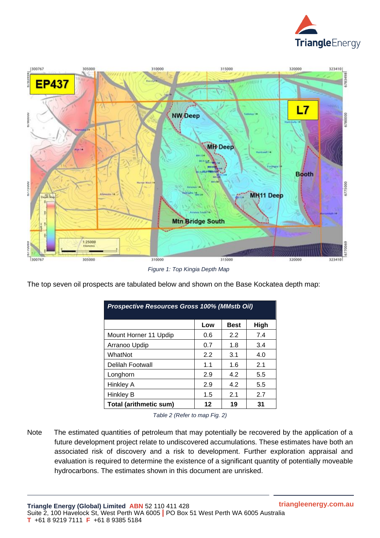



*Figure 1: Top Kingia Depth Map*

The top seven oil prospects are tabulated below and shown on the Base Kockatea depth map:

| <b>Prospective Resources Gross 100% (MMstb Oil)</b> |     |             |      |  |  |  |
|-----------------------------------------------------|-----|-------------|------|--|--|--|
|                                                     | Low | <b>Best</b> | High |  |  |  |
| Mount Horner 11 Updip                               | 0.6 | 2.2         | 7.4  |  |  |  |
| Arranoo Updip                                       | 0.7 | 1.8         | 3.4  |  |  |  |
| WhatNot                                             | 2.2 | 3.1         | 4.0  |  |  |  |
| Delilah Footwall                                    | 1.1 | 1.6         | 2.1  |  |  |  |
| Longhorn                                            | 2.9 | 4.2         | 5.5  |  |  |  |
| Hinkley A                                           | 2.9 | 4.2         | 5.5  |  |  |  |
| Hinkley B                                           | 1.5 | 2.1         | 2.7  |  |  |  |
| <b>Total (arithmetic sum)</b>                       | 12  | 19          | 31   |  |  |  |

| Table 2 (Refer to map Fig. 2) |  |  |
|-------------------------------|--|--|
|                               |  |  |

Note The estimated quantities of petroleum that may potentially be recovered by the application of a future development project relate to undiscovered accumulations. These estimates have both an associated risk of discovery and a risk to development. Further exploration appraisal and evaluation is required to determine the existence of a significant quantity of potentially moveable hydrocarbons. The estimates shown in this document are unrisked.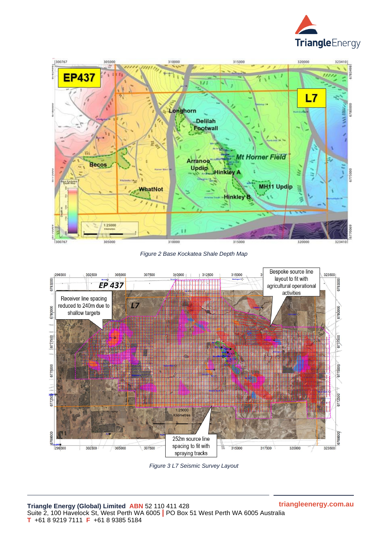



*Figure 2 Base Kockatea Shale Depth Map*



*Figure 3 L7 Seismic Survey Layout*

**triangleenergy.com.au**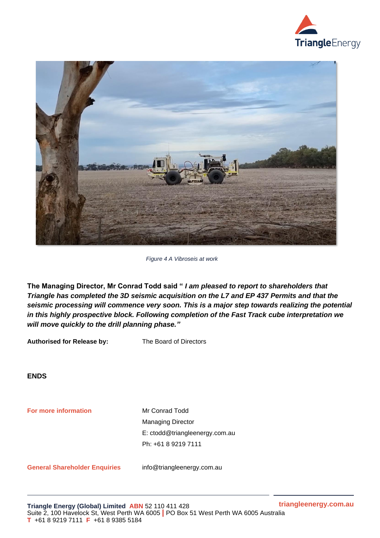



*Figure 4 A Vibroseis at work* 

**The Managing Director, Mr Conrad Todd said "** *I am pleased to report to shareholders that Triangle has completed the 3D seismic acquisition on the L7 and EP 437 Permits and that the seismic processing will commence very soon. This is a major step towards realizing the potential in this highly prospective block. Following completion of the Fast Track cube interpretation we will move quickly to the drill planning phase."*

**Authorised for Release by:** The Board of Directors

**ENDS**

**For more information Mr Conrad Todd** Managing Director E: ctodd@triangleenergy.com.au Ph: +61 8 9219 7111

**General Shareholder Enquiries** info@triangleenergy.com.au